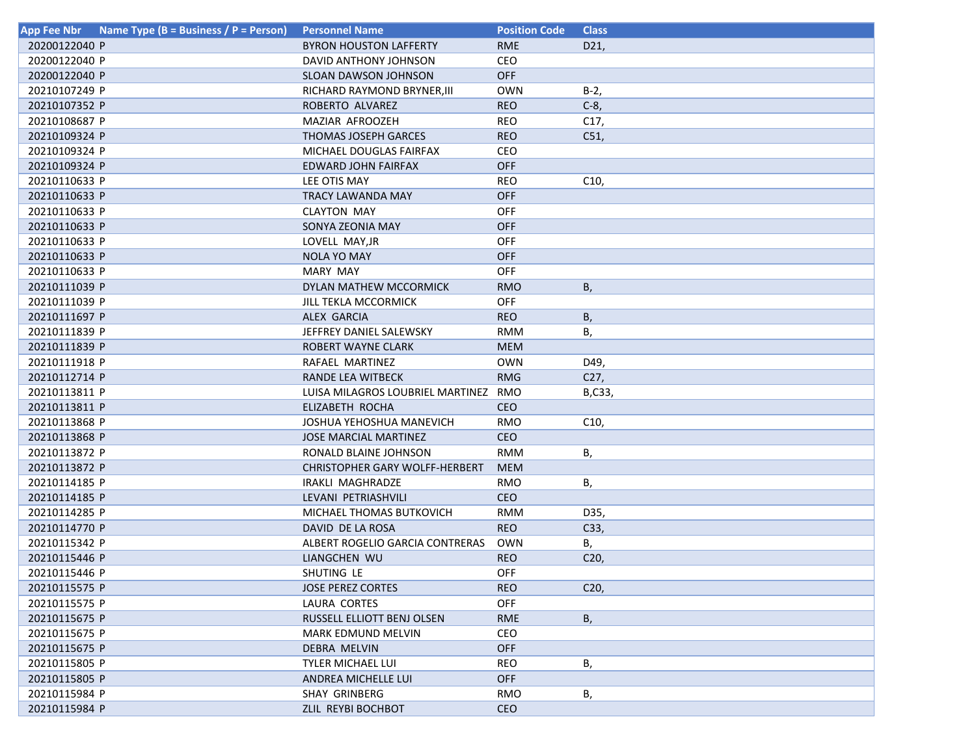| <b>App Fee Nbr</b> | Name Type (B = Business / P = Person) | <b>Personnel Name</b>                 | <b>Position Code</b> | <b>Class</b>    |
|--------------------|---------------------------------------|---------------------------------------|----------------------|-----------------|
| 20200122040 P      |                                       | <b>BYRON HOUSTON LAFFERTY</b>         | <b>RME</b>           | D21,            |
| 20200122040 P      |                                       | DAVID ANTHONY JOHNSON                 | CEO                  |                 |
| 20200122040 P      |                                       | <b>SLOAN DAWSON JOHNSON</b>           | <b>OFF</b>           |                 |
| 20210107249 P      |                                       | RICHARD RAYMOND BRYNER, III           | <b>OWN</b>           | $B-2$ ,         |
| 20210107352 P      |                                       | ROBERTO ALVAREZ                       | <b>REO</b>           | $C-8$ ,         |
| 20210108687 P      |                                       | MAZIAR AFROOZEH                       | <b>REO</b>           | C17,            |
| 20210109324 P      |                                       | THOMAS JOSEPH GARCES                  | <b>REO</b>           | C51,            |
| 20210109324 P      |                                       | MICHAEL DOUGLAS FAIRFAX               | CEO                  |                 |
| 20210109324 P      |                                       | EDWARD JOHN FAIRFAX                   | <b>OFF</b>           |                 |
| 20210110633 P      |                                       | LEE OTIS MAY                          | <b>REO</b>           | C10,            |
| 20210110633 P      |                                       | TRACY LAWANDA MAY                     | <b>OFF</b>           |                 |
| 20210110633 P      |                                       | <b>CLAYTON MAY</b>                    | <b>OFF</b>           |                 |
| 20210110633 P      |                                       | SONYA ZEONIA MAY                      | <b>OFF</b>           |                 |
| 20210110633 P      |                                       | LOVELL MAY, JR                        | <b>OFF</b>           |                 |
| 20210110633 P      |                                       | NOLA YO MAY                           | <b>OFF</b>           |                 |
| 20210110633 P      |                                       | MARY MAY                              | <b>OFF</b>           |                 |
| 20210111039 P      |                                       | DYLAN MATHEW MCCORMICK                | <b>RMO</b>           | Β,              |
| 20210111039 P      |                                       | <b>JILL TEKLA MCCORMICK</b>           | OFF                  |                 |
| 20210111697 P      |                                       | ALEX GARCIA                           | <b>REO</b>           | В,              |
| 20210111839 P      |                                       | JEFFREY DANIEL SALEWSKY               | RMM                  | В,              |
| 20210111839 P      |                                       | ROBERT WAYNE CLARK                    | <b>MEM</b>           |                 |
| 20210111918 P      |                                       | RAFAEL MARTINEZ                       | OWN                  | D49,            |
| 20210112714 P      |                                       | <b>RANDE LEA WITBECK</b>              | <b>RMG</b>           | C27,            |
| 20210113811 P      |                                       | LUISA MILAGROS LOUBRIEL MARTINEZ      | RMO                  | B,C33,          |
| 20210113811 P      |                                       | ELIZABETH ROCHA                       | <b>CEO</b>           |                 |
| 20210113868 P      |                                       | JOSHUA YEHOSHUA MANEVICH              | <b>RMO</b>           | C10,            |
| 20210113868 P      |                                       | JOSE MARCIAL MARTINEZ                 | <b>CEO</b>           |                 |
| 20210113872 P      |                                       | RONALD BLAINE JOHNSON                 | RMM                  | В,              |
| 20210113872 P      |                                       | <b>CHRISTOPHER GARY WOLFF-HERBERT</b> | <b>MEM</b>           |                 |
| 20210114185 P      |                                       | IRAKLI MAGHRADZE                      | RMO                  | В,              |
| 20210114185 P      |                                       | LEVANI PETRIASHVILI                   | CEO                  |                 |
| 20210114285 P      |                                       | MICHAEL THOMAS BUTKOVICH              | <b>RMM</b>           | D35,            |
| 20210114770 P      |                                       | DAVID DE LA ROSA                      | <b>REO</b>           | C33,            |
| 20210115342 P      |                                       | ALBERT ROGELIO GARCIA CONTRERAS       | <b>OWN</b>           | В,              |
| 20210115446 P      |                                       | LIANGCHEN WU                          | <b>REO</b>           | C <sub>20</sub> |
| 20210115446 P      |                                       | SHUTING LE                            | OFF                  |                 |
| 20210115575 P      |                                       | <b>JOSE PEREZ CORTES</b>              | <b>REO</b>           | C20,            |
| 20210115575 P      |                                       | LAURA CORTES                          | OFF                  |                 |
| 20210115675 P      |                                       | RUSSELL ELLIOTT BENJ OLSEN            | <b>RME</b>           | B,              |
| 20210115675 P      |                                       | <b>MARK EDMUND MELVIN</b>             | <b>CEO</b>           |                 |
| 20210115675 P      |                                       | <b>DEBRA MELVIN</b>                   | <b>OFF</b>           |                 |
| 20210115805 P      |                                       | <b>TYLER MICHAEL LUI</b>              | REO                  | В,              |
| 20210115805 P      |                                       | ANDREA MICHELLE LUI                   | <b>OFF</b>           |                 |
| 20210115984 P      |                                       | SHAY GRINBERG                         | <b>RMO</b>           | В,              |
| 20210115984 P      |                                       | ZLIL REYBI BOCHBOT                    | <b>CEO</b>           |                 |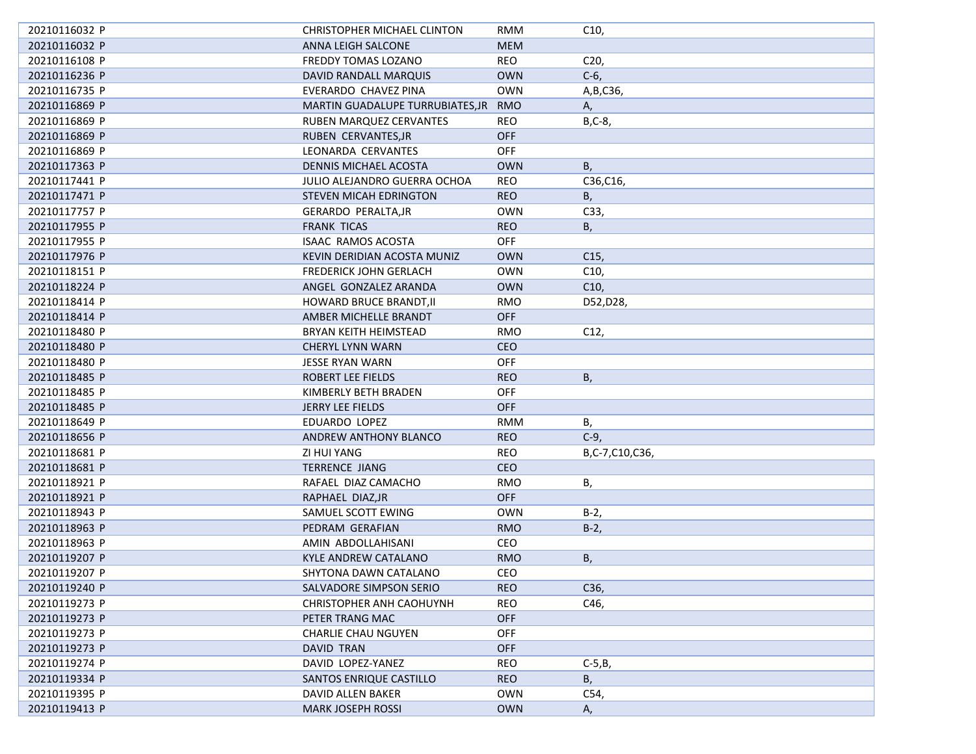| 20210116032 P | CHRISTOPHER MICHAEL CLINTON          | <b>RMM</b> | C10,            |
|---------------|--------------------------------------|------------|-----------------|
| 20210116032 P | ANNA LEIGH SALCONE                   | <b>MEM</b> |                 |
| 20210116108 P | FREDDY TOMAS LOZANO                  | REO        | C <sub>20</sub> |
| 20210116236 P | DAVID RANDALL MARQUIS                | <b>OWN</b> | $C-6$           |
| 20210116735 P | EVERARDO CHAVEZ PINA                 | <b>OWN</b> | A, B, C36,      |
| 20210116869 P | MARTIN GUADALUPE TURRUBIATES, JR RMO |            | А,              |
| 20210116869 P | RUBEN MARQUEZ CERVANTES              | REO        | $B, C-8$        |
| 20210116869 P | RUBEN CERVANTES, JR                  | <b>OFF</b> |                 |
| 20210116869 P | LEONARDA CERVANTES                   | <b>OFF</b> |                 |
| 20210117363 P | DENNIS MICHAEL ACOSTA                | <b>OWN</b> | В,              |
| 20210117441 P | JULIO ALEJANDRO GUERRA OCHOA         | <b>REO</b> | C36,C16,        |
| 20210117471 P | STEVEN MICAH EDRINGTON               | <b>REO</b> | В,              |
| 20210117757 P | <b>GERARDO PERALTA, JR</b>           | <b>OWN</b> | C33,            |
| 20210117955 P | <b>FRANK TICAS</b>                   | <b>REO</b> | В,              |
| 20210117955 P | <b>ISAAC RAMOS ACOSTA</b>            | OFF        |                 |
| 20210117976 P | KEVIN DERIDIAN ACOSTA MUNIZ          | <b>OWN</b> | C <sub>15</sub> |
| 20210118151 P | FREDERICK JOHN GERLACH               | <b>OWN</b> | C10,            |
| 20210118224 P | ANGEL GONZALEZ ARANDA                | <b>OWN</b> | C10,            |
| 20210118414 P | HOWARD BRUCE BRANDT, II              | <b>RMO</b> | D52, D28,       |
| 20210118414 P | AMBER MICHELLE BRANDT                | <b>OFF</b> |                 |
| 20210118480 P | BRYAN KEITH HEIMSTEAD                | RMO        | C12,            |
| 20210118480 P | <b>CHERYL LYNN WARN</b>              | CEO        |                 |
| 20210118480 P | JESSE RYAN WARN                      | OFF        |                 |
| 20210118485 P | ROBERT LEE FIELDS                    | <b>REO</b> | Β,              |
| 20210118485 P | KIMBERLY BETH BRADEN                 | <b>OFF</b> |                 |
| 20210118485 P | JERRY LEE FIELDS                     | OFF        |                 |
| 20210118649 P | EDUARDO LOPEZ                        | <b>RMM</b> | Β,              |
| 20210118656 P | ANDREW ANTHONY BLANCO                | <b>REO</b> | $C-9$           |
| 20210118681 P | ZI HUI YANG                          | <b>REO</b> | B,C-7,C10,C36,  |
| 20210118681 P | <b>TERRENCE JIANG</b>                | CEO        |                 |
| 20210118921 P | RAFAEL DIAZ CAMACHO                  | <b>RMO</b> | Β,              |
| 20210118921 P | RAPHAEL DIAZ, JR                     | <b>OFF</b> |                 |
| 20210118943 P | SAMUEL SCOTT EWING                   | <b>OWN</b> | $B-2$           |
| 20210118963 P | PEDRAM GERAFIAN                      | <b>RMO</b> | $B-2$ ,         |
| 20210118963 P | AMIN ABDOLLAHISANI                   | CEO        |                 |
| 20210119207 P | <b>KYLE ANDREW CATALANO</b>          | <b>RMO</b> | Β,              |
| 20210119207 P | SHYTONA DAWN CATALANO                | CEO        |                 |
| 20210119240 P | SALVADORE SIMPSON SERIO              | <b>REO</b> | C36,            |
| 20210119273 P | CHRISTOPHER ANH CAOHUYNH             | <b>REO</b> | C46,            |
| 20210119273 P | PETER TRANG MAC                      | <b>OFF</b> |                 |
| 20210119273 P | <b>CHARLIE CHAU NGUYEN</b>           | OFF        |                 |
| 20210119273 P | DAVID TRAN                           | OFF        |                 |
| 20210119274 P | DAVID LOPEZ-YANEZ                    | <b>REO</b> | $C-5,B$         |
| 20210119334 P | SANTOS ENRIQUE CASTILLO              | <b>REO</b> | В,              |
| 20210119395 P | DAVID ALLEN BAKER                    | <b>OWN</b> | C54,            |
| 20210119413 P | <b>MARK JOSEPH ROSSI</b>             | <b>OWN</b> | А,              |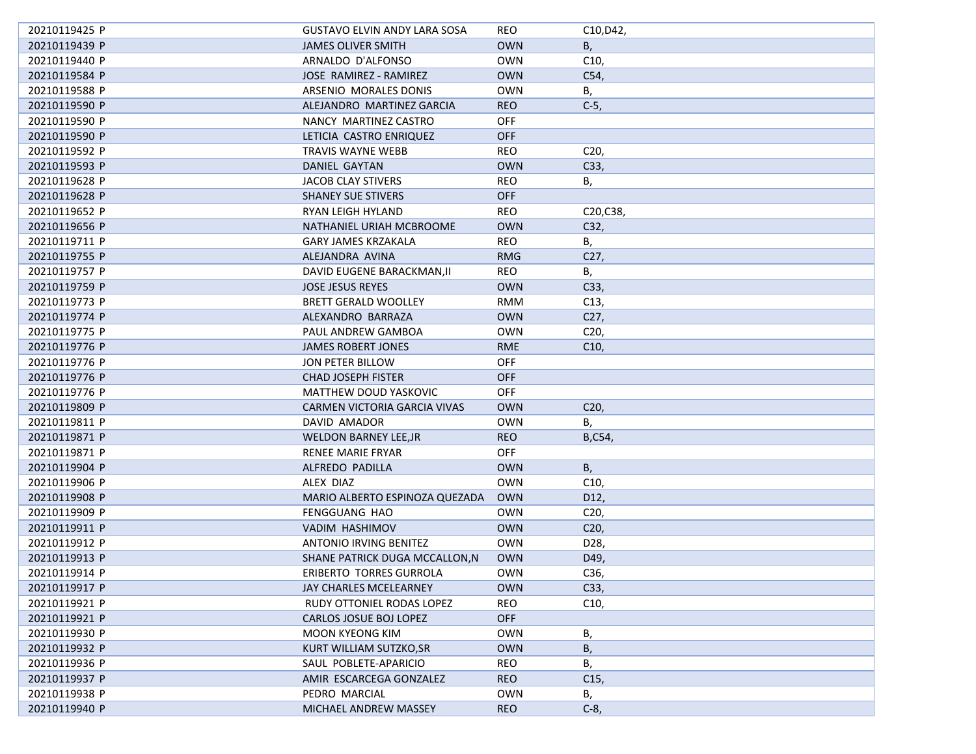| 20210119425 P | GUSTAVO ELVIN ANDY LARA SOSA   | REO        | C10, D42,       |
|---------------|--------------------------------|------------|-----------------|
| 20210119439 P | <b>JAMES OLIVER SMITH</b>      | <b>OWN</b> | В,              |
| 20210119440 P | ARNALDO D'ALFONSO              | <b>OWN</b> | C10,            |
| 20210119584 P | JOSE RAMIREZ - RAMIREZ         | <b>OWN</b> | C54,            |
| 20210119588 P | ARSENIO MORALES DONIS          | <b>OWN</b> | В,              |
| 20210119590 P | ALEJANDRO MARTINEZ GARCIA      | <b>REO</b> | $C-5$ ,         |
| 20210119590 P | NANCY MARTINEZ CASTRO          | <b>OFF</b> |                 |
| 20210119590 P | LETICIA CASTRO ENRIQUEZ        | OFF        |                 |
| 20210119592 P | <b>TRAVIS WAYNE WEBB</b>       | <b>REO</b> | C <sub>20</sub> |
| 20210119593 P | DANIEL GAYTAN                  | <b>OWN</b> | C33,            |
| 20210119628 P | JACOB CLAY STIVERS             | REO        | В,              |
| 20210119628 P | <b>SHANEY SUE STIVERS</b>      | <b>OFF</b> |                 |
| 20210119652 P | RYAN LEIGH HYLAND              | REO        | C20, C38,       |
| 20210119656 P | NATHANIEL URIAH MCBROOME       | <b>OWN</b> | C32,            |
| 20210119711 P | <b>GARY JAMES KRZAKALA</b>     | <b>REO</b> | В,              |
| 20210119755 P | ALEJANDRA AVINA                | <b>RMG</b> | C27,            |
| 20210119757 P | DAVID EUGENE BARACKMAN, II     | <b>REO</b> | В,              |
| 20210119759 P | <b>JOSE JESUS REYES</b>        | <b>OWN</b> | C33,            |
| 20210119773 P | <b>BRETT GERALD WOOLLEY</b>    | <b>RMM</b> | C <sub>13</sub> |
| 20210119774 P | ALEXANDRO BARRAZA              | <b>OWN</b> | C <sub>27</sub> |
| 20210119775 P | PAUL ANDREW GAMBOA             | <b>OWN</b> | C <sub>20</sub> |
| 20210119776 P | <b>JAMES ROBERT JONES</b>      | <b>RME</b> | C10,            |
| 20210119776 P | <b>JON PETER BILLOW</b>        | OFF        |                 |
| 20210119776 P | <b>CHAD JOSEPH FISTER</b>      | <b>OFF</b> |                 |
| 20210119776 P | MATTHEW DOUD YASKOVIC          | <b>OFF</b> |                 |
| 20210119809 P | CARMEN VICTORIA GARCIA VIVAS   | <b>OWN</b> | C <sub>20</sub> |
| 20210119811 P | DAVID AMADOR                   | <b>OWN</b> | Β,              |
| 20210119871 P | <b>WELDON BARNEY LEE, JR</b>   | <b>REO</b> | B,C54,          |
| 20210119871 P | <b>RENEE MARIE FRYAR</b>       | <b>OFF</b> |                 |
| 20210119904 P | ALFREDO PADILLA                | <b>OWN</b> | В,              |
| 20210119906 P | ALEX DIAZ                      | <b>OWN</b> | C10,            |
| 20210119908 P | MARIO ALBERTO ESPINOZA QUEZADA | <b>OWN</b> | D12,            |
| 20210119909 P | FENGGUANG HAO                  | <b>OWN</b> | C <sub>20</sub> |
| 20210119911 P | VADIM HASHIMOV                 | <b>OWN</b> | C <sub>20</sub> |
| 20210119912 P | <b>ANTONIO IRVING BENITEZ</b>  | <b>OWN</b> | D28,            |
| 20210119913 P | SHANE PATRICK DUGA MCCALLON, N | <b>OWN</b> | D49,            |
| 20210119914 P | ERIBERTO TORRES GURROLA        | <b>OWN</b> | C36,            |
| 20210119917 P | JAY CHARLES MCELEARNEY         | <b>OWN</b> | C33,            |
| 20210119921 P | RUDY OTTONIEL RODAS LOPEZ      | REO        | C10,            |
| 20210119921 P | CARLOS JOSUE BOJ LOPEZ         | OFF        |                 |
| 20210119930 P | <b>MOON KYEONG KIM</b>         | <b>OWN</b> | В,              |
| 20210119932 P | KURT WILLIAM SUTZKO, SR        | <b>OWN</b> | Β,              |
| 20210119936 P | SAUL POBLETE-APARICIO          | REO        | В,              |
| 20210119937 P | AMIR ESCARCEGA GONZALEZ        | <b>REO</b> | C15,            |
| 20210119938 P | PEDRO MARCIAL                  | <b>OWN</b> | В,              |
| 20210119940 P | MICHAEL ANDREW MASSEY          | <b>REO</b> | $C-8$ ,         |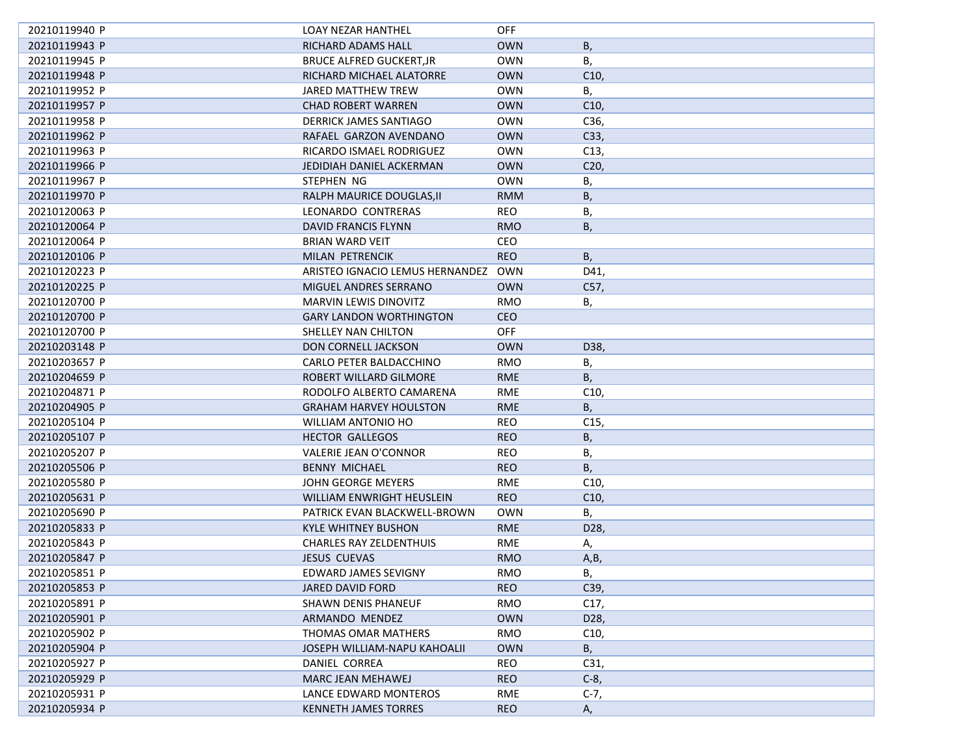| 20210119940 P | <b>LOAY NEZAR HANTHEL</b>        | <b>OFF</b> |                 |
|---------------|----------------------------------|------------|-----------------|
| 20210119943 P | RICHARD ADAMS HALL               | <b>OWN</b> | Β,              |
| 20210119945 P | BRUCE ALFRED GUCKERT, JR         | <b>OWN</b> | В,              |
| 20210119948 P | RICHARD MICHAEL ALATORRE         | <b>OWN</b> | C10,            |
| 20210119952 P | JARED MATTHEW TREW               | <b>OWN</b> | В,              |
| 20210119957 P | <b>CHAD ROBERT WARREN</b>        | <b>OWN</b> | C10             |
| 20210119958 P | DERRICK JAMES SANTIAGO           | <b>OWN</b> | C36,            |
| 20210119962 P | RAFAEL GARZON AVENDANO           | <b>OWN</b> | C33,            |
| 20210119963 P | RICARDO ISMAEL RODRIGUEZ         | <b>OWN</b> | C13,            |
| 20210119966 P | JEDIDIAH DANIEL ACKERMAN         | <b>OWN</b> | C <sub>20</sub> |
| 20210119967 P | STEPHEN NG                       | <b>OWN</b> | В,              |
| 20210119970 P | RALPH MAURICE DOUGLAS, II        | <b>RMM</b> | В,              |
| 20210120063 P | LEONARDO CONTRERAS               | REO        | В,              |
| 20210120064 P | DAVID FRANCIS FLYNN              | <b>RMO</b> | Β,              |
| 20210120064 P | <b>BRIAN WARD VEIT</b>           | CEO        |                 |
| 20210120106 P | MILAN PETRENCIK                  | <b>REO</b> | В,              |
| 20210120223 P | ARISTEO IGNACIO LEMUS HERNANDEZ  | OWN        | D41,            |
| 20210120225 P | MIGUEL ANDRES SERRANO            | <b>OWN</b> | C57,            |
| 20210120700 P | <b>MARVIN LEWIS DINOVITZ</b>     | RMO        | В,              |
| 20210120700 P | <b>GARY LANDON WORTHINGTON</b>   | <b>CEO</b> |                 |
| 20210120700 P | SHELLEY NAN CHILTON              | <b>OFF</b> |                 |
| 20210203148 P | <b>DON CORNELL JACKSON</b>       | <b>OWN</b> | D38,            |
| 20210203657 P | CARLO PETER BALDACCHINO          | RMO        | В,              |
| 20210204659 P | ROBERT WILLARD GILMORE           | <b>RME</b> | Β,              |
| 20210204871 P | RODOLFO ALBERTO CAMARENA         | RME        | C10,            |
| 20210204905 P | <b>GRAHAM HARVEY HOULSTON</b>    | <b>RME</b> | В,              |
| 20210205104 P | WILLIAM ANTONIO HO               | REO        | C <sub>15</sub> |
| 20210205107 P | <b>HECTOR GALLEGOS</b>           | <b>REO</b> | Β,              |
| 20210205207 P | VALERIE JEAN O'CONNOR            | <b>REO</b> | В,              |
| 20210205506 P | <b>BENNY MICHAEL</b>             | <b>REO</b> | В,              |
| 20210205580 P | JOHN GEORGE MEYERS               | RME        | C10,            |
| 20210205631 P | <b>WILLIAM ENWRIGHT HEUSLEIN</b> | <b>REO</b> | C10             |
| 20210205690 P | PATRICK EVAN BLACKWELL-BROWN     | <b>OWN</b> | В,              |
| 20210205833 P | KYLE WHITNEY BUSHON              | <b>RME</b> | D <sub>28</sub> |
| 20210205843 P | <b>CHARLES RAY ZELDENTHUIS</b>   | <b>RME</b> | А,              |
| 20210205847 P | <b>JESUS CUEVAS</b>              | <b>RMO</b> | A,B             |
| 20210205851 P | EDWARD JAMES SEVIGNY             | <b>RMO</b> | В,              |
| 20210205853 P | JARED DAVID FORD                 | <b>REO</b> | C39,            |
| 20210205891 P | SHAWN DENIS PHANEUF              | RMO        | C17,            |
| 20210205901 P | ARMANDO MENDEZ                   | <b>OWN</b> | D28,            |
| 20210205902 P | THOMAS OMAR MATHERS              | RMO        | C10,            |
| 20210205904 P | JOSEPH WILLIAM-NAPU KAHOALII     | <b>OWN</b> | В,              |
| 20210205927 P | DANIEL CORREA                    | <b>REO</b> | C31,            |
| 20210205929 P | <b>MARC JEAN MEHAWEJ</b>         | <b>REO</b> | $C-8$           |
| 20210205931 P | LANCE EDWARD MONTEROS            | RME        | $C-7,$          |
| 20210205934 P | <b>KENNETH JAMES TORRES</b>      | <b>REO</b> | А,              |